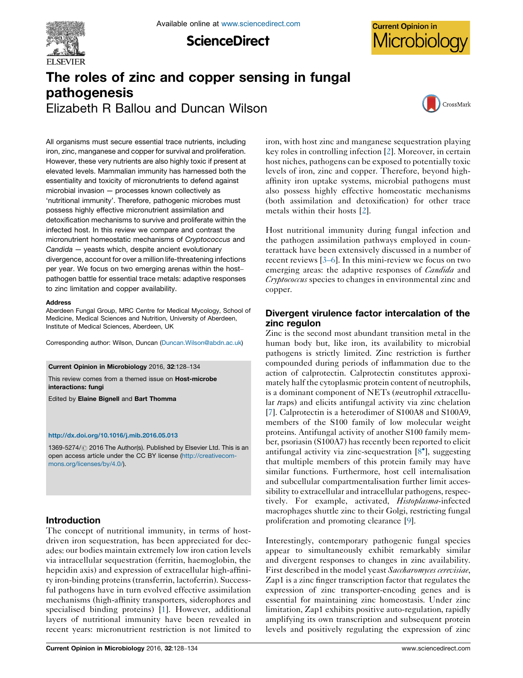

**ScienceDirect** 



# The roles of zinc and copper sensing in fungal pathogenesis Elizabeth R Ballou and Duncan Wilson



All organisms must secure essential trace nutrients, including iron, zinc, manganese and copper for survival and proliferation. However, these very nutrients are also highly toxic if present at elevated levels. Mammalian immunity has harnessed both the essentiality and toxicity of micronutrients to defend against microbial invasion — processes known collectively as 'nutritional immunity'. Therefore, pathogenic microbes must possess highly effective micronutrient assimilation and detoxification mechanisms to survive and proliferate within the infected host. In this review we compare and contrast the micronutrient homeostatic mechanisms of Cryptococcus and Candida — yeasts which, despite ancient evolutionary divergence, account for over a million life-threatening infections per year. We focus on two emerging arenas within the host– pathogen battle for essential trace metals: adaptive responses to zinc limitation and copper availability.

### Address

Aberdeen Fungal Group, MRC Centre for Medical Mycology, School of Medicine, Medical Sciences and Nutrition, University of Aberdeen, Institute of Medical Sciences, Aberdeen, UK

Corresponding author: Wilson, Duncan [\(Duncan.Wilson@abdn.ac.uk\)](mailto:Duncan.Wilson@abdn.ac.uk)

#### Current Opinion in Microbiology 2016, 32:128–134

This review comes from a themed issue on Host-microbe interactions: fungi

Edited by Elaine Bignell and Bart Thomma

### <http://dx.doi.org/10.1016/j.mib.2016.05.013>

1369-5274/ 2016 The Author(s). Published by Elsevier Ltd. This is an open access article under the CC BY license [\(http://creativecom](http://creativecommons.org/licenses/by/4.0/)[mons.org/licenses/by/4.0/\)](http://creativecommons.org/licenses/by/4.0/).

### Introduction

The concept of nutritional immunity, in terms of hostdriven iron sequestration, has been appreciated for decades: our bodies maintain extremely low iron cation levels via intracellular sequestration (ferritin, haemoglobin, the hepcidin axis) and expression of extracellular high-affinity iron-binding proteins (transferrin, lactoferrin). Successful pathogens have in turn evolved effective assimilation mechanisms (high-affinity transporters, siderophores and specialised binding proteins) [\[1](#page-4-0)]. However, additional layers of nutritional immunity have been revealed in recent years: micronutrient restriction is not limited to iron, with host zinc and manganese sequestration playing key roles in controlling infection [[2\]](#page-4-0). Moreover, in certain host niches, pathogens can be exposed to potentially toxic levels of iron, zinc and copper. Therefore, beyond highaffinity iron uptake systems, microbial pathogens must also possess highly effective homeostatic mechanisms (both assimilation and detoxification) for other trace metals within their hosts [\[2](#page-4-0)].

Host nutritional immunity during fungal infection and the pathogen assimilation pathways employed in counterattack have been extensively discussed in a number of recent reviews [3–[6\]](#page-4-0). In this mini-review we focus on two emerging areas: the adaptive responses of *Candida* and Cryptococcus species to changes in environmental zinc and copper.

### Divergent virulence factor intercalation of the zinc regulon

Zinc is the second most abundant transition metal in the human body but, like iron, its availability to microbial pathogens is strictly limited. Zinc restriction is further compounded during periods of inflammation due to the action of calprotectin. Calprotectin constitutes approximately half the cytoplasmic protein content of neutrophils, is a dominant component of NETs (neutrophil extracellular *traps*) and elicits antifungal activity via zinc chelation [\[7](#page-4-0)]. Calprotectin is a heterodimer of S100A8 and S100A9, members of the S100 family of low molecular weight proteins. Antifungal activity of another S100 family member, psoriasin (S100A7) has recently been reported to elicit antifungal activity via zinc-sequestration  $[8^{\circ}]$  $[8^{\circ}]$ , suggesting that multiple members of this protein family may have similar functions. Furthermore, host cell internalisation and subcellular compartmentalisation further limit accessibility to extracellular and intracellular pathogens, respectively. For example, activated, Histoplasma-infected macrophages shuttle zinc to their Golgi, restricting fungal proliferation and promoting clearance [[9\]](#page-4-0).

Interestingly, contemporary pathogenic fungal species appear to simultaneously exhibit remarkably similar and divergent responses to changes in zinc availability. First described in the model yeast Saccharomyces cerevisiae, Zap1 is a zinc finger transcription factor that regulates the expression of zinc transporter-encoding genes and is essential for maintaining zinc homeostasis. Under zinc limitation, Zap1 exhibits positive auto-regulation, rapidly amplifying its own transcription and subsequent protein levels and positively regulating the expression of zinc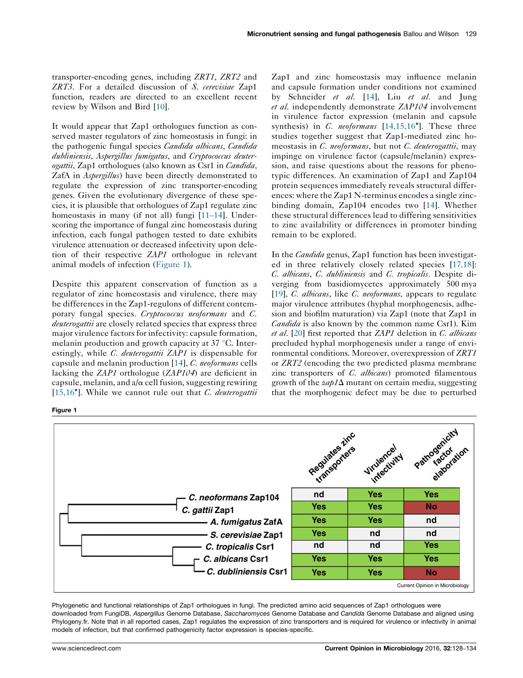<span id="page-1-0"></span>transporter-encoding genes, including ZRT1, ZRT2 and ZRT3. For a detailed discussion of S. cerevisiae Zap1 function, readers are directed to an excellent recent review by Wilson and Bird [[10\]](#page-4-0).

It would appear that Zap1 orthologues function as conserved master regulators of zinc homeostasis in fungi: in the pathogenic fungal species Candida albicans, Candida dubliniensis, Aspergillus fumigatus, and Cryptococcus deuterogattii, Zap1 orthologues (also known as Csr1 in *Candida*, ZafA in *Aspergillus*) have been directly demonstrated to regulate the expression of zinc transporter-encoding genes. Given the evolutionary divergence of these species, it is plausible that orthologues of Zap1 regulate zinc homeostasis in many (if not all) fungi [11–[14\]](#page-4-0). Underscoring the importance of fungal zinc homeostasis during infection, each fungal pathogen tested to date exhibits virulence attenuation or decreased infectivity upon deletion of their respective ZAP1 orthologue in relevant animal models of infection (Figure 1).

Despite this apparent conservation of function as a regulator of zinc homeostasis and virulence, there may be differences in the Zap1-regulons of different contemporary fungal species. Cryptococcus neoformans and C. deuterogattii are closely related species that express three major virulence factors for infectivity: capsule formation, melanin production and growth capacity at  $37 \degree C$ . Interestingly, while *C. deuterogattii ZAP1* is dispensable for capsule and melanin production [\[14](#page-4-0)], C. neoformans cells lacking the ZAP1 orthologue (ZAP104) are deficient in capsule, melanin, and  $a/\alpha$  cell fusion, suggesting rewiring [\[15,16](#page-4-0) $^{\circ}$ ]. While we cannot rule out that *C. deuterogattii* 

Zap1 and zinc homeostasis may influence melanin and capsule formation under conditions not examined by Schneider et al. [[14\]](#page-4-0), Liu et al. and Jung et al. independently demonstrate ZAP104 involvement in virulence factor expression (melanin and capsule synthesis) in  $C.$  neoformans  $[14, 15, 16^{\circ}]$ . These three studies together suggest that Zap1-mediated zinc homeostasis in C. neoformans, but not C. deuterogattii, may impinge on virulence factor (capsule/melanin) expression, and raise questions about the reasons for phenotypic differences. An examination of Zap1 and Zap104 protein sequences immediately reveals structural differences: where the Zap1 N-terminus encodes a single zincbinding domain, Zap104 encodes two [\[14](#page-4-0)]. Whether these structural differences lead to differing sensitivities to zinc availability or differences in promoter binding remain to be explored.

In the *Candida* genus, Zap1 function has been investigated in three relatively closely related species [\[17,18\]](#page-5-0): C. albicans, C. dubliniensis and C. tropicalis. Despite diverging from basidiomycetes approximately 500 mya [[19](#page-5-0)], C. albicans, like C. neoformans, appears to regulate major virulence attributes (hyphal morphogenesis, adhesion and biofilm maturation) via Zap1 (note that Zap1 in Candida is also known by the common name Csr1). Kim et al. [\[20](#page-5-0)] first reported that ZAP1 deletion in C. albicans precluded hyphal morphogenesis under a range of environmental conditions. Moreover, overexpression of ZRT1 or ZRT2 (encoding the two predicted plasma membrane zinc transporters of  $C$ . *albicans*) promoted filamentous growth of the  $\alpha$  ap1 $\Delta$  mutant on certain media, suggesting that the morphogenic defect may be due to perturbed

Figure 1



Phylogenetic and functional relationships of Zap1 orthologues in fungi. The predicted amino acid sequences of Zap1 orthologues were downloaded from FungiDB, Aspergillus Genome Database, Saccharomyces Genome Database and Candida Genome Database and aligned using Phylogeny.fr. Note that in all reported cases, Zap1 regulates the expression of zinc transporters and is required for virulence or infectivity in animal models of infection, but that confirmed pathogenicity factor expression is species-specific.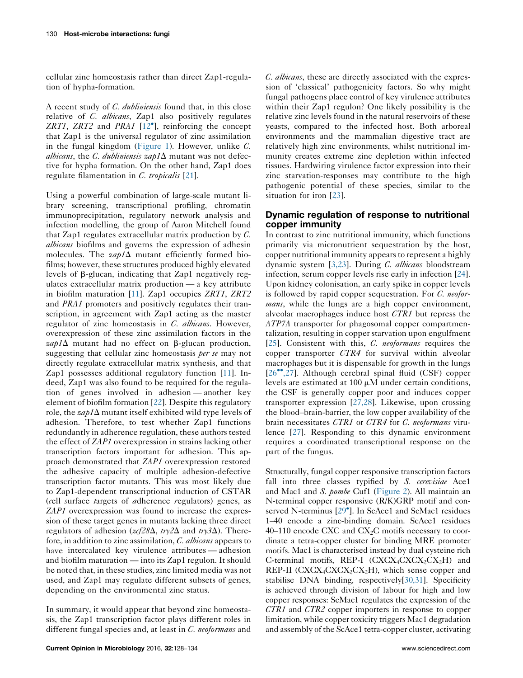cellular zinc homeostasis rather than direct Zap1-regulation of hypha-formation.

A recent study of C. dubliniensis found that, in this close relative of *C. albicans*, Zap1 also positively regulates ZRT1, ZRT2 and PRA1  $[12^{\circ}]$  $[12^{\circ}]$  $[12^{\circ}]$ , reinforcing the concept that Zap1 is the universal regulator of zinc assimilation in the fungal kingdom ([Figure](#page-1-0) 1). However, unlike C. albicans, the C. dubliniensis  $\alpha$  and  $\Delta$  mutant was not defective for hypha formation. On the other hand, Zap1 does regulate filamentation in C. tropicalis [\[21](#page-5-0)].

Using a powerful combination of large-scale mutant library screening, transcriptional profiling, chromatin immunoprecipitation, regulatory network analysis and infection modelling, the group of Aaron Mitchell found that Zap1 regulates extracellular matrix production by C. albicans biofilms and governs the expression of adhesin molecules. The  $\alpha \rho / \Delta$  mutant efficiently formed biofilms; however, these structures produced highly elevated levels of β-glucan, indicating that Zap1 negatively regulates extracellular matrix production — a key attribute in biofilm maturation [[11\]](#page-4-0). Zap1 occupies ZRT1, ZRT2 and PRA1 promoters and positively regulates their transcription, in agreement with Zap1 acting as the master regulator of zinc homeostasis in C. albicans. However, overexpression of these zinc assimilation factors in the  $\alpha$ *zap1* $\Delta$  mutant had no effect on  $\beta$ -glucan production, suggesting that cellular zinc homeostasis per se may not directly regulate extracellular matrix synthesis, and that Zap1 possesses additional regulatory function [\[11](#page-4-0)]. Indeed, Zap1 was also found to be required for the regulation of genes involved in adhesion — another key element of biofilm formation [[22\]](#page-5-0). Despite this regulatory role, the  $\alpha$ *p1* $\Delta$  mutant itself exhibited wild type levels of adhesion. Therefore, to test whether Zap1 functions redundantly in adherence regulation, these authors tested the effect of ZAP1 overexpression in strains lacking other transcription factors important for adhesion. This approach demonstrated that ZAP1 overexpression restored the adhesive capacity of multiple adhesion-defective transcription factor mutants. This was most likely due to Zap1-dependent transcriptional induction of CSTAR (cell surface targets of adherence regulators) genes, as ZAP1 overexpression was found to increase the expression of these target genes in mutants lacking three direct regulators of adhesion ( $\alpha c/28\Delta$ , try2 $\Delta$  and try3 $\Delta$ ). Therefore, in addition to zinc assimilation, *C. albicans* appears to have intercalated key virulence attributes — adhesion and biofilm maturation — into its Zap1 regulon. It should be noted that, in these studies, zinc limited media was not used, and Zap1 may regulate different subsets of genes, depending on the environmental zinc status.

In summary, it would appear that beyond zinc homeostasis, the Zap1 transcription factor plays different roles in different fungal species and, at least in C. neoformans and

C. albicans, these are directly associated with the expression of 'classical' pathogenicity factors. So why might fungal pathogens place control of key virulence attributes within their Zap1 regulon? One likely possibility is the relative zinc levels found in the natural reservoirs of these yeasts, compared to the infected host. Both arboreal environments and the mammalian digestive tract are relatively high zinc environments, whilst nutritional immunity creates extreme zinc depletion within infected tissues. Hardwiring virulence factor expression into their zinc starvation-responses may contribute to the high pathogenic potential of these species, similar to the situation for iron [\[23](#page-5-0)].

## Dynamic regulation of response to nutritional copper immunity

In contrast to zinc nutritional immunity, which functions primarily via micronutrient sequestration by the host, copper nutritional immunity appears to represent a highly dynamic system [\[3,23\]](#page-4-0). During C. albicans bloodstream infection, serum copper levels rise early in infection [[24](#page-5-0)]. Upon kidney colonisation, an early spike in copper levels is followed by rapid copper sequestration. For C. neoformans, while the lungs are a high copper environment, alveolar macrophages induce host CTR1 but repress the ATP7A transporter for phagosomal copper compartmentalization, resulting in copper starvation upon engulfment [\[25](#page-5-0)]. Consistent with this, *C. neoformans* requires the copper transporter CTR4 for survival within alveolar macrophages but it is dispensable for growth in the lungs [\[26](#page-5-0)<sup>••</sup>[,27](#page-5-0)]. Although cerebral spinal fluid (CSF) copper levels are estimated at 100  $\mu$ M under certain conditions, the CSF is generally copper poor and induces copper transporter expression [[27,28\]](#page-5-0). Likewise, upon crossing the blood–brain-barrier, the low copper availability of the brain necessitates CTR1 or CTR4 for C. neoformans virulence [[27\]](#page-5-0). Responding to this dynamic environment requires a coordinated transcriptional response on the part of the fungus.

Structurally, fungal copper responsive transcription factors fall into three classes typified by S. cerevisiae Ace1 and Mac1 and S. pombe Cuf1 ([Figure](#page-3-0) 2). All maintain an N-terminal copper responsive (R/K)GRP motif and con-served N-terminus [[29](#page-5-0)<sup>°</sup>]. In ScAce1 and ScMac1 residues 1–40 encode a zinc-binding domain. ScAce1 residues 40–110 encode CXC and  $CX<sub>2</sub>C$  motifs necessary to coordinate a tetra-copper cluster for binding MRE promoter motifs. Mac1 is characterised instead by dual cysteine rich C-terminal motifs, REP-I  $(CXCX_4CXCX_2CX_2H)$  and REP-II ( $\text{CXCX}_4\text{CXCX}_2\text{CX}_2\text{H}$ ), which sense copper and stabilise DNA binding, respectively[[30,31\]](#page-5-0). Specificity is achieved through division of labour for high and low copper responses: ScMac1 regulates the expression of the CTR1 and CTR2 copper importers in response to copper limitation, while copper toxicity triggers Mac1 degradation and assembly of the ScAce1 tetra-copper cluster, activating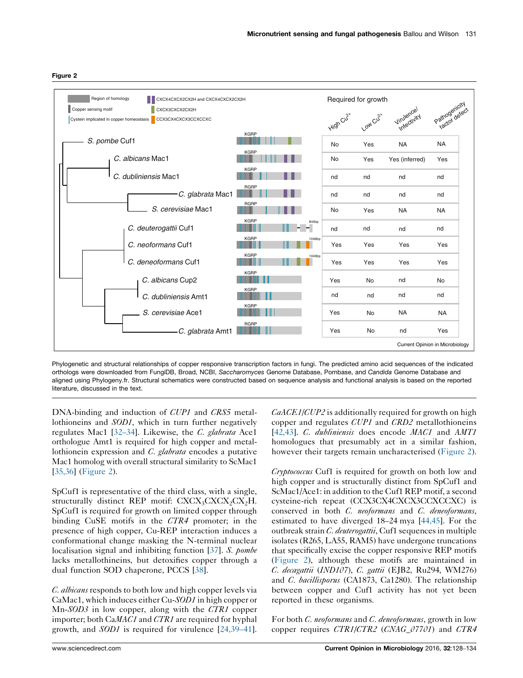

#### <span id="page-3-0"></span>Figure 2

Phylogenetic and structural relationships of copper responsive transcription factors in fungi. The predicted amino acid sequences of the indicated orthologs were downloaded from FungiDB, Broad, NCBI, Saccharomyces Genome Database, Pombase, and Candida Genome Database and aligned using Phylogeny.fr. Structural schematics were constructed based on sequence analysis and functional analysis is based on the reported literature, discussed in the text.

DNA-binding and induction of *CUP1* and *CRS5* metallothioneins and SOD1, which in turn further negatively regulates Mac1 [\[32](#page-5-0)–34]. Likewise, the C. glabrata Ace1 orthologue Amt1 is required for high copper and metallothionein expression and C. glabrata encodes a putative Mac1 homolog with overall structural similarity to ScMac1 [\[35,36](#page-5-0)] (Figure 2).

SpCuf1 is representative of the third class, with a single, structurally distinct REP motif:  $\text{CXCX}_3\text{CXCX}_2\text{CX}_2H$ . SpCuf1 is required for growth on limited copper through binding CuSE motifs in the CTR4 promoter; in the presence of high copper, Cu-REP interaction induces a conformational change masking the N-terminal nuclear localisation signal and inhibiting function [[37\]](#page-5-0). S. pombe lacks metallothineins, but detoxifies copper through a dual function SOD chaperone, PCCS [[38\]](#page-5-0).

C. albicans responds to both low and high copper levels via CaMac1, which induces either Cu-SOD1 in high copper or Mn-SOD3 in low copper, along with the CTR1 copper importer; both CaMAC1 and CTR1 are required for hyphal growth, and SOD1 is required for virulence [[24,39](#page-5-0)–41].

 $CaACE1/CUP2$  is additionally required for growth on high copper and regulates CUP1 and CRD2 metallothioneins [[42,43\]](#page-5-0). C. dubliniensis does encode MAC1 and AMT1 homologues that presumably act in a similar fashion, however their targets remain uncharacterised (Figure 2).

Cryptococcus Cuf1 is required for growth on both low and high copper and is structurally distinct from SpCuf1 and ScMac1/Ace1: in addition to the Cuf1 REP motif, a second cysteine-rich repeat (CCX3CX4CXCX3CCXCCXC) is conserved in both C. neoformans and C. deneoformans, estimated to have diverged 18–24 mya [\[44,45\]](#page-5-0). For the outbreak strain *C. deuterogattii*, Cuf1 sequences in multiple isolates (R265, LA55, RAM5) have undergone truncations that specifically excise the copper responsive REP motifs (Figure 2), although these motifs are maintained in C. decagattii (IND107), C. gattii (EJB2, Ru294, WM276) and *C. bacillisporus* (CA1873, Ca1280). The relationship between copper and Cuf1 activity has not yet been reported in these organisms.

For both C. neoformans and C. deneoformans, growth in low copper requires CTR1/CTR2 (CNAG\_07701) and CTR4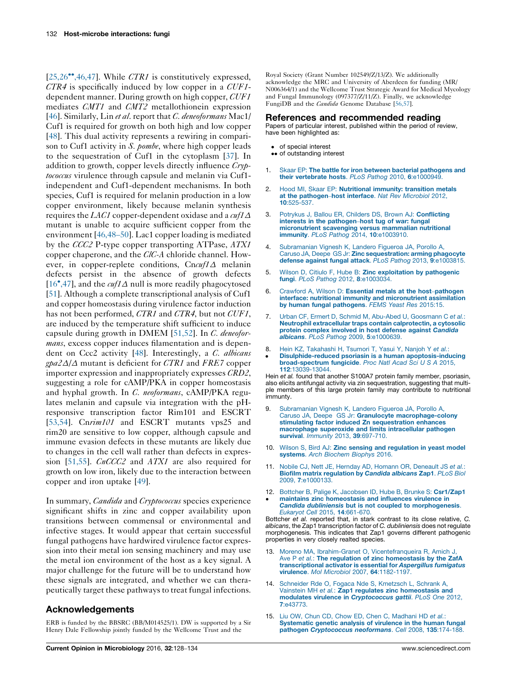<span id="page-4-0"></span> $[25,26^{\bullet\bullet},46,47]$  $[25,26^{\bullet\bullet},46,47]$  $[25,26^{\bullet\bullet},46,47]$  $[25,26^{\bullet\bullet},46,47]$ . While CTR1 is constitutively expressed,  $CTR4$  is specifically induced by low copper in a  $CUF1$ dependent manner. During growth on high copper, CUF1 mediates CMT1 and CMT2 metallothionein expression [\[46](#page-5-0)]. Similarly, Lin et al. report that C. deneoformans Mac1/ Cuf1 is required for growth on both high and low copper [\[48](#page-5-0)]. This dual activity represents a rewiring in comparison to Cuf1 activity in S. pombe, where high copper leads to the sequestration of Cuf1 in the cytoplasm [[37\]](#page-5-0). In addition to growth, copper levels directly influence  $\mathcal{C}r\psi$ tococcus virulence through capsule and melanin via Cuf1 independent and Cuf1-dependent mechanisms. In both species, Cuf1 is required for melanin production in a low copper environment, likely because melanin synthesis requires the LAC1 copper-dependent oxidase and a  $\alpha$ t1 $\Delta$ mutant is unable to acquire sufficient copper from the environment [\[46,48](#page-5-0)–50]. Lac1 copper loading is mediated by the CCC2 P-type copper transporting ATPase, ATX1 copper chaperone, and the ClC-A chloride channel. However, in copper-replete conditions,  $Cncu f1\Delta$  melanin defects persist in the absence of growth defects [\[16](#page-5-0)<sup>\*</sup>[,47](#page-5-0)], and the *cuf1* $\Delta$  null is more readily phagocytosed [\[51](#page-5-0)]. Although a complete transcriptional analysis of Cuf1 and copper homeostasis during virulence factor induction has not been performed, CTR1 and CTR4, but not CUF1, are induced by the temperature shift sufficient to induce capsule during growth in DMEM [\[51,52\]](#page-5-0). In C. deneoformans, excess copper induces filamentation and is depen-dent on Ccc2 activity [\[48\]](#page-5-0). Interestingly, a C. albicans  $\frac{g}{a^2\Delta}{\Delta}$  mutant is deficient for CTR1 and FRE7 copper importer expression and inappropriately expresses CRD2, suggesting a role for cAMP/PKA in copper homeostasis and hyphal growth. In C. neoformans, cAMP/PKA regulates melanin and capsule via integration with the pHresponsive transcription factor Rim101 and ESCRT [\[53,54\]](#page-6-0). Cnrim101 and ESCRT mutants vps25 and rim20 are sensitive to low copper, although capsule and immune evasion defects in these mutants are likely due to changes in the cell wall rather than defects in expres-sion [\[51,55\]](#page-5-0). CnCCC2 and ATX1 are also required for growth on low iron, likely due to the interaction between copper and iron uptake [[49\]](#page-5-0).

In summary, *Candida* and *Cryptococcus* species experience significant shifts in zinc and copper availability upon transitions between commensal or environmental and infective stages. It would appear that certain successful fungal pathogens have hardwired virulence factor expression into their metal ion sensing machinery and may use the metal ion environment of the host as a key signal. A major challenge for the future will be to understand how these signals are integrated, and whether we can therapeutically target these pathways to treat fungal infections.

### Acknowledgements

ERB is funded by the BBSRC (BB/M014525/1). DW is supported by a Sir Henry Dale Fellowship jointly funded by the Wellcome Trust and the

Royal Society (Grant Number 102549/Z/13/Z). We additionally acknowledge the MRC and University of Aberdeen for funding (MR/ N006364/1) and the Wellcome Trust Strategic Award for Medical Mycology and Fungal Immunology (097377/Z/11/Z). Finally, we acknowledge FungiDB and the *Candida* Genome Database [\[56,57](#page-6-0)].

#### References and recommended reading

Papers of particular interest, published within the period of review, have been highlighted as:

- of special interest
- •• of outstanding interest
- 1. Skaar EP: The battle for iron between bacterial [pathogens](http://refhub.elsevier.com/S1369-5274(16)30068-6/sbref0290) and their vertebrate hosts. PLoS Pathog 2010, 6[:e1000949.](http://refhub.elsevier.com/S1369-5274(16)30068-6/sbref0290)
- 2. Hood MI, Skaar EP: [Nutritional](http://refhub.elsevier.com/S1369-5274(16)30068-6/sbref0295) immunity: transition metals at the [pathogen](http://refhub.elsevier.com/S1369-5274(16)30068-6/sbref0295)–host interface. Nat Rev Microbiol 2012, 10[:525-537.](http://refhub.elsevier.com/S1369-5274(16)30068-6/sbref0295)
- 3. Potrykus J, Ballou ER, Childers DS, Brown AJ: [Conflicting](http://refhub.elsevier.com/S1369-5274(16)30068-6/sbref0300) interests in the [pathogen](http://refhub.elsevier.com/S1369-5274(16)30068-6/sbref0300)–host tug of war: fungal [micronutrient](http://refhub.elsevier.com/S1369-5274(16)30068-6/sbref0300) scavenging versus mammalian nutritional immunity. PLoS Pathog 2014, 10[:e1003910.](http://refhub.elsevier.com/S1369-5274(16)30068-6/sbref0300)
- 4. [Subramanian](http://refhub.elsevier.com/S1369-5274(16)30068-6/sbref0305) Vignesh K, Landero Figueroa JA, Porollo A, Caruso JA, Deepe GS Jr: Zinc [sequestration:](http://refhub.elsevier.com/S1369-5274(16)30068-6/sbref0305) arming phagocyte defense against fungal attack. PLoS Pathog 2013, 9[:e1003815.](http://refhub.elsevier.com/S1369-5274(16)30068-6/sbref0305)
- 5. Wilson D, Citiulo F, Hube B: Zinc [exploitation](http://refhub.elsevier.com/S1369-5274(16)30068-6/sbref0310) by pathogenic fungi. PLoS Pathog 2012, 8[:e1003034.](http://refhub.elsevier.com/S1369-5274(16)30068-6/sbref0310)
- 6. Crawford A, Wilson D: Essential metals at the host–[pathogen](http://refhub.elsevier.com/S1369-5274(16)30068-6/sbref0315) interface: nutritional immunity and [micronutrient](http://refhub.elsevier.com/S1369-5274(16)30068-6/sbref0315) assimilation by human fungal [pathogens](http://refhub.elsevier.com/S1369-5274(16)30068-6/sbref0315). FEMS Yeast Res 2015:15.
- 7. Urban CF, Ermert D, Schmid M, Abu-Abed U, [Goosmann](http://refhub.elsevier.com/S1369-5274(16)30068-6/sbref0320) C et al.: Neutrophil extracellular traps contain [calprotectin,](http://refhub.elsevier.com/S1369-5274(16)30068-6/sbref0320) a cytosolic protein [complex](http://refhub.elsevier.com/S1369-5274(16)30068-6/sbref0320) involved in host defense against Candida albicans. PLoS Pathog 2009, 5[:e1000639.](http://refhub.elsevier.com/S1369-5274(16)30068-6/sbref0320)
- 8. Hein KZ, [Takahashi](http://refhub.elsevier.com/S1369-5274(16)30068-6/sbref0325) H, Tsumori T, Yasui Y, Nanjoh Y et al.:
- -[Disulphide-reduced](http://refhub.elsevier.com/S1369-5274(16)30068-6/sbref0325) psoriasin is a human apoptosis-inducing [broad-spectrum](http://refhub.elsevier.com/S1369-5274(16)30068-6/sbref0325) fungicide. Proc Natl Acad Sci U S A 2015, 112[:13039-13044.](http://refhub.elsevier.com/S1369-5274(16)30068-6/sbref0325)

Hein et al. found that another S100A7 protein family member, psoriasin, also elicits antifungal activity via zin sequestration, suggesting that multiple members of this large protein family may contribute to nutritional immunty.

- 9. [Subramanian](http://refhub.elsevier.com/S1369-5274(16)30068-6/sbref0330) Vignesh K, Landero Figueroa JA, Porollo A, Caruso JA, Deepe GS Jr: Granulocyte [macrophage-colony](http://refhub.elsevier.com/S1369-5274(16)30068-6/sbref0330) stimulating factor induced Zn [sequestration](http://refhub.elsevier.com/S1369-5274(16)30068-6/sbref0330) enhances [macrophage](http://refhub.elsevier.com/S1369-5274(16)30068-6/sbref0330) superoxide and limits intracellular pathogen survival. *Immunity* 2013, 39[:697-710.](http://refhub.elsevier.com/S1369-5274(16)30068-6/sbref0330)
- 10. Wilson S, Bird AJ: Zinc sensing and [regulation](http://refhub.elsevier.com/S1369-5274(16)30068-6/sbref0335) in yeast model systems. Arch [Biochem](http://refhub.elsevier.com/S1369-5274(16)30068-6/sbref0335) Biophys 2016.
- 11. Nobile CJ, Nett JE, Hernday AD, Homann OR, [Deneault](http://refhub.elsevier.com/S1369-5274(16)30068-6/sbref0340) JS et al.: Biofilm matrix [regulation](http://refhub.elsevier.com/S1369-5274(16)30068-6/sbref0340) by Candida albicans Zap1. PLoS Biol 2009, 7[:e1000133.](http://refhub.elsevier.com/S1369-5274(16)30068-6/sbref0340)
- 12. Bottcher B, Palige K, Jacobsen ID, Hube B, Brunke S: [Csr1/Zap1](http://refhub.elsevier.com/S1369-5274(16)30068-6/sbref0345) maintains zinc [homeostasis](http://refhub.elsevier.com/S1369-5274(16)30068-6/sbref0345) and influences virulence in
- Candida dubliniensis but is not coupled to [morphogenesis](http://refhub.elsevier.com/S1369-5274(16)30068-6/sbref0345). Eukaryot Cell 2015, 14[:661-670.](http://refhub.elsevier.com/S1369-5274(16)30068-6/sbref0345)

Bottcher et al. reported that, in stark contrast to its close relative, C. albicans, the Zap1 transcription factor of C. dubliniensis does not regulate morphogenesis. This indicates that Zap1 governs different pathogenic properties in very closely realted species.

- 13. Moreno MA, Ibrahim-Granet O, [Vicentefranqueira](http://refhub.elsevier.com/S1369-5274(16)30068-6/sbref0350) R, Amich J, Ave P et al.: The regulation of zinc [homeostasis](http://refhub.elsevier.com/S1369-5274(16)30068-6/sbref0350) by the ZafA [transcriptional](http://refhub.elsevier.com/S1369-5274(16)30068-6/sbref0350) activator is essential for Aspergillus fumigatus virulence. Mol Microbiol 2007, 64[:1182-1197.](http://refhub.elsevier.com/S1369-5274(16)30068-6/sbref0350)
- 14. [Schneider](http://refhub.elsevier.com/S1369-5274(16)30068-6/sbref0355) Rde O, Fogaca Nde S, Kmetzsch L, Schrank A, Vainstein MH et al.: Zap1 regulates zinc [homeostasis](http://refhub.elsevier.com/S1369-5274(16)30068-6/sbref0355) and modulates virulence in [Cryptococcus](http://refhub.elsevier.com/S1369-5274(16)30068-6/sbref0355) gattii. PLoS One 2012, 7[:e43773.](http://refhub.elsevier.com/S1369-5274(16)30068-6/sbref0355)
- 15. Liu OW, Chun CD, Chow ED, Chen C, [Madhani](http://refhub.elsevier.com/S1369-5274(16)30068-6/sbref0360) HD et al.: [Systematic](http://refhub.elsevier.com/S1369-5274(16)30068-6/sbref0360) genetic analysis of virulence in the human fungal pathogen [Cryptococcus](http://refhub.elsevier.com/S1369-5274(16)30068-6/sbref0360) neoformans. Cell 2008, 135:174-188.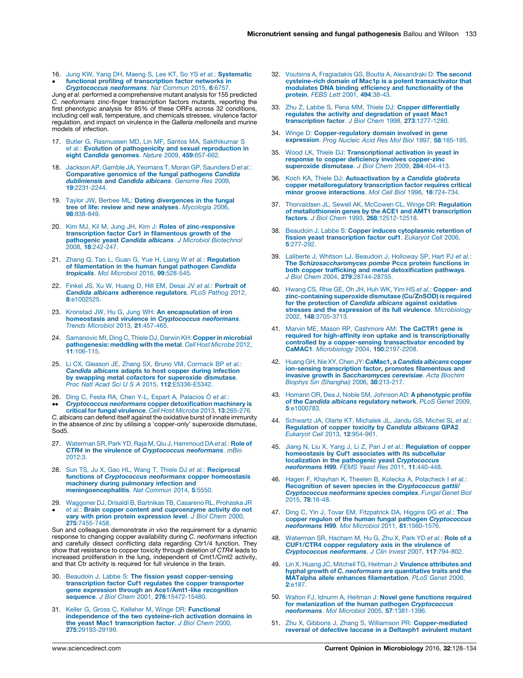<span id="page-5-0"></span>16. Jung KW, Yang DH, Maeng S, Lee KT, So YS et al.: [Systematic](http://refhub.elsevier.com/S1369-5274(16)30068-6/sbref0365)  $\bullet$ functional profiling of [transcription](http://refhub.elsevier.com/S1369-5274(16)30068-6/sbref0365) factor networks in [Cryptococcus](http://refhub.elsevier.com/S1369-5274(16)30068-6/sbref0365) neoformans. Nat Commun 2015, 6:6757.

Jung et al. performed a comprehensive mutant analysis for 155 predicted C. neoformans zinc-finger transcription factors mutants, reporting the first phenotypic analysis for 85% of these ORFs across 32 conditions, including cell wall, temperature, and chemicals stresses, virulence factor regulation, and impact on virulence in the Galleria mellonella and murine models of infection.

- 17. Butler G, Rasmussen MD, Lin MF, Santos MA, [Sakthikumar](http://refhub.elsevier.com/S1369-5274(16)30068-6/sbref0370) S et al.: Evolution of [pathogenicity](http://refhub.elsevier.com/S1369-5274(16)30068-6/sbref0370) and sexual reproduction in eight Candida [genomes](http://refhub.elsevier.com/S1369-5274(16)30068-6/sbref0370). Nature 2009, 459:657-662.
- 18. Jackson AP, Gamble JA, Yeomans T, Moran GP, [Saunders](http://refhub.elsevier.com/S1369-5274(16)30068-6/sbref0375) D et al.: [Comparative](http://refhub.elsevier.com/S1369-5274(16)30068-6/sbref0375) genomics of the fungal pathogens Candida [dubliniensis](http://refhub.elsevier.com/S1369-5274(16)30068-6/sbref0375) and Candida albicans. Genome Res 2009, 19[:2231-2244.](http://refhub.elsevier.com/S1369-5274(16)30068-6/sbref0375)
- 19. Taylor JW, Berbee ML: Dating [divergences](http://refhub.elsevier.com/S1369-5274(16)30068-6/sbref0380) in the fungal tree of life: review and new analyses. [Mycologia](http://refhub.elsevier.com/S1369-5274(16)30068-6/sbref0380) 2006, 98[:838-849.](http://refhub.elsevier.com/S1369-5274(16)30068-6/sbref0380)
- 20. Kim MJ, Kil M, Jung JH, Kim J: Roles of [zinc-responsive](http://refhub.elsevier.com/S1369-5274(16)30068-6/sbref0385) [transcription](http://refhub.elsevier.com/S1369-5274(16)30068-6/sbref0385) factor Csr1 in filamentous growth of the **[pathogenic](http://refhub.elsevier.com/S1369-5274(16)30068-6/sbref0385) yeast Candida albicans**. J Microbiol Biotechnol<br>2008, **18**[:242-247.](http://refhub.elsevier.com/S1369-5274(16)30068-6/sbref0385)
- 21. Zhang Q, Tao L, Guan G, Yue H, Liang W et al.: [Regulation](http://refhub.elsevier.com/S1369-5274(16)30068-6/sbref0390) of [filamentation](http://refhub.elsevier.com/S1369-5274(16)30068-6/sbref0390) in the human fungal pathogen Candida [tropicalis](http://refhub.elsevier.com/S1369-5274(16)30068-6/sbref0390). Mol Microbiol 2016, 99:528-545.
- 22. Finkel JS, Xu W, Huang D, Hill EM, Desai JV et al.: [Portrait](http://refhub.elsevier.com/S1369-5274(16)30068-6/sbref0395) of Candida albicans [adherence](http://refhub.elsevier.com/S1369-5274(16)30068-6/sbref0395) regulators. PLoS Pathog 2012, 8[:e1002525.](http://refhub.elsevier.com/S1369-5274(16)30068-6/sbref0395)
- 23. Kronstad JW, Hu G, Jung WH: An [encapsulation](http://refhub.elsevier.com/S1369-5274(16)30068-6/sbref0400) of iron homeostasis and virulence in [Cryptococcus](http://refhub.elsevier.com/S1369-5274(16)30068-6/sbref0400) neoformans. Trends Microbiol 2013, 21[:457-465.](http://refhub.elsevier.com/S1369-5274(16)30068-6/sbref0400)
- 24. [Samanovic](http://refhub.elsevier.com/S1369-5274(16)30068-6/sbref0405) MI, Ding C, Thiele DJ, Darwin KH: Copper in microbial [pathogenesis:](http://refhub.elsevier.com/S1369-5274(16)30068-6/sbref0405) meddling with the metal. Cell Host Microbe 2012, 11[:106-115.](http://refhub.elsevier.com/S1369-5274(16)30068-6/sbref0405)
- 25. Li CX, Gleason JE, Zhang SX, Bruno VM, [Cormack](http://refhub.elsevier.com/S1369-5274(16)30068-6/sbref0410) BP et al.: Candida albicans adapts to host copper during [infection](http://refhub.elsevier.com/S1369-5274(16)30068-6/sbref0410) by swapping metal cofactors for [superoxide](http://refhub.elsevier.com/S1369-5274(16)30068-6/sbref0410) dismutase. Proc Natl Acad Sci U S A 2015, 112[:E5336-E5342.](http://refhub.elsevier.com/S1369-5274(16)30068-6/sbref0410)
- 26. Ding C, Festa RA, Chen Y-L, Espart A, [Palacios](http://refhub.elsevier.com/S1369-5274(16)30068-6/sbref0415) Ò et al.:  $\bullet$ -[Cryptococcus](http://refhub.elsevier.com/S1369-5274(16)30068-6/sbref0415) neoformans copper detoxification machinery is critical for fungal [virulence](http://refhub.elsevier.com/S1369-5274(16)30068-6/sbref0415). Cell Host Microbe 2013, 13:265-276.

C. albicans can defend itself against the oxidative burst of innate immunity in the absence of zinc by utilising a 'copper-only' superoxide dismutase, Sod5.

- 27. Waterman SR, Park YD, Raja M, Qiu J, [Hammoud](http://refhub.elsevier.com/S1369-5274(16)30068-6/sbref0420) DA et al.: Role of CTR4 in the virulence of [Cryptococcus](http://refhub.elsevier.com/S1369-5274(16)30068-6/sbref0420) neoformans. mBio [2012:3.](http://refhub.elsevier.com/S1369-5274(16)30068-6/sbref0420)
- 28. Sun TS, Ju X, Gao HL, Wang T, Thiele DJ et al.: [Reciprocal](http://refhub.elsevier.com/S1369-5274(16)30068-6/sbref0425) functions of [Cryptococcus](http://refhub.elsevier.com/S1369-5274(16)30068-6/sbref0425) neoformans copper homeostasis machinery during [pulmonary](http://refhub.elsevier.com/S1369-5274(16)30068-6/sbref0425) infection and [meningoencephalitis](http://refhub.elsevier.com/S1369-5274(16)30068-6/sbref0425). Nat Commun 2014, 5:5550.
- 29. [Waggoner](http://refhub.elsevier.com/S1369-5274(16)30068-6/sbref0430) DJ, Drisaldi B, Bartnikas TB, Casareno RL, Prohaska JR  $\bullet$ et al.: Brain copper content and [cuproenzyme](http://refhub.elsevier.com/S1369-5274(16)30068-6/sbref0430) activity do not vary with prion protein [expression](http://refhub.elsevier.com/S1369-5274(16)30068-6/sbref0430) level. J Biol Chem 2000, 275[:7455-7458.](http://refhub.elsevier.com/S1369-5274(16)30068-6/sbref0430)

Sun and colleagues demonstrate in vivo the requirement for a dynamic response to changing copper availability during C. neoformans infection and carefully dissect conflicting data regarding Ctr1/4 function. They show that resistance to copper toxicity through deletion of CTR4 leads to increased proliferation in the lung, independent of Cmt1/Cmt2 activity, and that Ctr activity is required for full virulence in the brain.

- 30. Beaudoin J, Labbe S: The fission yeast [copper-sensing](http://refhub.elsevier.com/S1369-5274(16)30068-6/sbref0435) [transcription](http://refhub.elsevier.com/S1369-5274(16)30068-6/sbref0435) factor Cuf1 regulates the copper transporter gene expression through an [Ace1/Amt1-like](http://refhub.elsevier.com/S1369-5274(16)30068-6/sbref0435) recognition sequence. J Biol Chem 2001, 276[:15472-15480.](http://refhub.elsevier.com/S1369-5274(16)30068-6/sbref0435)
- 31. Keller G, Gross C, Kelleher M, Winge DR: [Functional](http://refhub.elsevier.com/S1369-5274(16)30068-6/sbref0440) [independence](http://refhub.elsevier.com/S1369-5274(16)30068-6/sbref0440) of the two cysteine-rich activation domains in the yeast Mac1 [transcription](http://refhub.elsevier.com/S1369-5274(16)30068-6/sbref0440) factor. J Biol Chem 2000, 275[:29193-29199.](http://refhub.elsevier.com/S1369-5274(16)30068-6/sbref0440)
- 32. Voutsina A, Fragiadakis GS, Boutla A, [Alexandraki](http://refhub.elsevier.com/S1369-5274(16)30068-6/sbref0445) D: The second cysteine-rich domain of Mac1p is a potent [transactivator](http://refhub.elsevier.com/S1369-5274(16)30068-6/sbref0445) that modulates DNA binding efficiency and [functionality](http://refhub.elsevier.com/S1369-5274(16)30068-6/sbref0445) of the [protein](http://refhub.elsevier.com/S1369-5274(16)30068-6/sbref0445). FEBS Lett 2001, 494:38-43.
- 33. Zhu Z, Labbe S, Pena MM, Thiele DJ: Copper [differentially](http://refhub.elsevier.com/S1369-5274(16)30068-6/sbref0450) regulates the activity and [degradation](http://refhub.elsevier.com/S1369-5274(16)30068-6/sbref0450) of yeast Mac1 [transcription](http://refhub.elsevier.com/S1369-5274(16)30068-6/sbref0450) factor. J Biol Chem 1998, 273:1277-1280.
- 34. Winge D: [Copper-regulatory](http://refhub.elsevier.com/S1369-5274(16)30068-6/sbref0455) domain involved in gene [expression](http://refhub.elsevier.com/S1369-5274(16)30068-6/sbref0455). Prog Nucleic Acid Res Mol Biol 1997, 58:165-195.
- 35. Wood LK, Thiele DJ: [Transcriptional](http://refhub.elsevier.com/S1369-5274(16)30068-6/sbref0460) activation in yeast in response to copper deficiency involves [copper-zinc](http://refhub.elsevier.com/S1369-5274(16)30068-6/sbref0460)<br>[superoxide](http://refhub.elsevier.com/S1369-5274(16)30068-6/sbref0460) dismutase. J Biol Chem 2009, 284:404-413.
- 36. Koch KA, Thiele DJ: [Autoactivation](http://refhub.elsevier.com/S1369-5274(16)30068-6/sbref0465) by a Candida glabrata copper [metalloregulatory](http://refhub.elsevier.com/S1369-5274(16)30068-6/sbref0465) transcription factor requires critical minor groove [interactions](http://refhub.elsevier.com/S1369-5274(16)30068-6/sbref0465). Mol Cell Biol 1996, 16:724-734.
- 37. [Thorvaldsen](http://refhub.elsevier.com/S1369-5274(16)30068-6/sbref0470) JL, Sewell AK, McCowen CL, Winge DR: Regulation of [metallothionein](http://refhub.elsevier.com/S1369-5274(16)30068-6/sbref0470) genes by the ACE1 and AMT1 transcription factors. J Biol Chem 1993, 268[:12512-12518.](http://refhub.elsevier.com/S1369-5274(16)30068-6/sbref0470)
- 38. Beaudoin J, Labbe S: Copper induces [cytoplasmic](http://refhub.elsevier.com/S1369-5274(16)30068-6/sbref0475) retention of fission yeast [transcription](http://refhub.elsevier.com/S1369-5274(16)30068-6/sbref0475) factor cuf1. *Eukaryot Cell 2006*, 5[:277-292.](http://refhub.elsevier.com/S1369-5274(16)30068-6/sbref0475)
- 39. Laliberte J, Whitson LJ, [Beaudoin](http://refhub.elsevier.com/S1369-5274(16)30068-6/sbref0480) J, Holloway SP, Hart PJ et al.: The [Schizosaccharomyces](http://refhub.elsevier.com/S1369-5274(16)30068-6/sbref0480) pombe Pccs protein functions in both copper trafficking and metal [detoxification](http://refhub.elsevier.com/S1369-5274(16)30068-6/sbref0480) pathways. J Biol Chem 2004, 279[:28744-28755.](http://refhub.elsevier.com/S1369-5274(16)30068-6/sbref0480)
- 40. Hwang CS, Rhie GE, Oh JH, Huh WK, Yim HS et al.: [Copper-](http://refhub.elsevier.com/S1369-5274(16)30068-6/sbref0485) and [zinc-containing](http://refhub.elsevier.com/S1369-5274(16)30068-6/sbref0485) superoxide dismutase (Cu/ZnSOD) is required for the [protection](http://refhub.elsevier.com/S1369-5274(16)30068-6/sbref0485) of Candida albicans against oxidative stresses and the expression of its full virulence. [Microbiology](http://refhub.elsevier.com/S1369-5274(16)30068-6/sbref0485) 2002, 148[:3705-3713.](http://refhub.elsevier.com/S1369-5274(16)30068-6/sbref0485)
- 41. Marvin ME, Mason RP, [Cashmore](http://refhub.elsevier.com/S1369-5274(16)30068-6/sbref0490) AM: The CaCTR1 gene is required for high-affinity iron uptake and is [transcriptionally](http://refhub.elsevier.com/S1369-5274(16)30068-6/sbref0490) controlled by a [copper-sensing](http://refhub.elsevier.com/S1369-5274(16)30068-6/sbref0490) transactivator encoded by CaMAC1. [Microbiology](http://refhub.elsevier.com/S1369-5274(16)30068-6/sbref0490) 2004, 150:2197-2208.
- 42. Huang GH, Nie XY, Chen JY: [CaMac1,](http://refhub.elsevier.com/S1369-5274(16)30068-6/sbref0495) a Candida albicans copper ion-sensing [transcription](http://refhub.elsevier.com/S1369-5274(16)30068-6/sbref0495) factor, promotes filamentous and invasive growth in [Saccharomyces](http://refhub.elsevier.com/S1369-5274(16)30068-6/sbref0495) cerevisiae. Acta Biochim Biophys Sin [\(Shanghai\)](http://refhub.elsevier.com/S1369-5274(16)30068-6/sbref0495) 2006, 38:213-217.
- 43. Homann OR, Dea J, Noble SM, Johnson AD: A [phenotypic](http://refhub.elsevier.com/S1369-5274(16)30068-6/sbref0500) profile of the Candida albicans [regulatory](http://refhub.elsevier.com/S1369-5274(16)30068-6/sbref0500) network. PLoS Genet 2009, 5[:e1000783.](http://refhub.elsevier.com/S1369-5274(16)30068-6/sbref0500)
- 44. [Schwartz](http://refhub.elsevier.com/S1369-5274(16)30068-6/sbref0505) JA, Olarte KT, Michalek JL, Jandu GS, Michel SL et al.: [Regulation](http://refhub.elsevier.com/S1369-5274(16)30068-6/sbref0505) of copper toxicity by Candida albicans GPA2. Eukaryot Cell 2013, 12[:954-961.](http://refhub.elsevier.com/S1369-5274(16)30068-6/sbref0505)
- 45. Jiang N, Liu X, Yang J, Li Z, Pan J et al.: [Regulation](http://refhub.elsevier.com/S1369-5274(16)30068-6/sbref0510) of copper [homeostasis](http://refhub.elsevier.com/S1369-5274(16)30068-6/sbref0510) by Cuf1 associates with its subcellular localization in the pathogenic yeast [Cryptococcus](http://refhub.elsevier.com/S1369-5274(16)30068-6/sbref0510) [neoformans](http://refhub.elsevier.com/S1369-5274(16)30068-6/sbref0510) H99. FEMS Yeast Res 2011, 11:440-448.
- 46. Hagen F, Khayhan K, Theelen B, Kolecka A, [Polacheck](http://refhub.elsevier.com/S1369-5274(16)30068-6/sbref0515) I et al.: Recognition of seven species in the [Cryptococcus](http://refhub.elsevier.com/S1369-5274(16)30068-6/sbref0515) gattii/ [Cryptococcus](http://refhub.elsevier.com/S1369-5274(16)30068-6/sbref0515) neoformans species complex. Fungal Genet Biol 2015, 78[:16-48.](http://refhub.elsevier.com/S1369-5274(16)30068-6/sbref0515)
- 47. Ding C, Yin J, Tovar EM, [Fitzpatrick](http://refhub.elsevier.com/S1369-5274(16)30068-6/sbref0520) DA, Higgins DG et al.: The copper regulon of the human fungal pathogen [Cryptococcus](http://refhub.elsevier.com/S1369-5274(16)30068-6/sbref0520) [neoformans](http://refhub.elsevier.com/S1369-5274(16)30068-6/sbref0520) H99. Mol Microbiol 2011, 81:1560-1576.
- 48. [Waterman](http://refhub.elsevier.com/S1369-5274(16)30068-6/sbref0525) SR, Hacham M, Hu G, Zhu X, Park YD et al.: Role of a [CUF1/CTR4](http://refhub.elsevier.com/S1369-5274(16)30068-6/sbref0525) copper regulatory axis in the virulence of [Cryptococcus](http://refhub.elsevier.com/S1369-5274(16)30068-6/sbref0525) neoformans. J Clin Invest 2007, 117:794-802.
- 49. Lin X, Huang JC, Mitchell TG, Heitman J: Virulence [attributes](http://refhub.elsevier.com/S1369-5274(16)30068-6/sbref0530) and hyphal growth of C. [neoformans](http://refhub.elsevier.com/S1369-5274(16)30068-6/sbref0530) are quantitative traits and the MATalpha allele enhances [filamentation](http://refhub.elsevier.com/S1369-5274(16)30068-6/sbref0530). PLoS Genet 2006, 2[:e187.](http://refhub.elsevier.com/S1369-5274(16)30068-6/sbref0530)
- 50. Walton FJ, Idnurm A, Heitman J: Novel gene [functions](http://refhub.elsevier.com/S1369-5274(16)30068-6/sbref0535) required for melanization of the human pathogen [Cryptococcus](http://refhub.elsevier.com/S1369-5274(16)30068-6/sbref0535)<br>[neoformans](http://refhub.elsevier.com/S1369-5274(16)30068-6/sbref0535). Mol Microbiol 2005, 57:1381-1396.
- 51. Zhu X, Gibbons J, Zhang S, Williamson PR: [Copper-mediated](http://refhub.elsevier.com/S1369-5274(16)30068-6/sbref0540) reversal of defective laccase in a [Deltavph1](http://refhub.elsevier.com/S1369-5274(16)30068-6/sbref0540) avirulent mutant